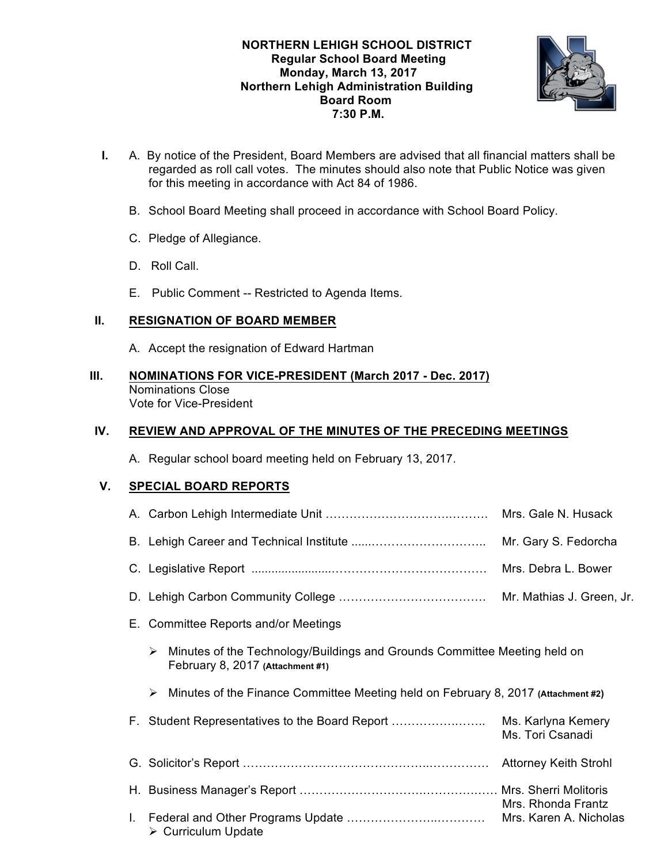

- **I.** A. By notice of the President, Board Members are advised that all financial matters shall be regarded as roll call votes. The minutes should also note that Public Notice was given for this meeting in accordance with Act 84 of 1986.
	- B. School Board Meeting shall proceed in accordance with School Board Policy.
	- C. Pledge of Allegiance.
	- D. Roll Call.
	- E. Public Comment -- Restricted to Agenda Items.

# **II. RESIGNATION OF BOARD MEMBER**

A. Accept the resignation of Edward Hartman

#### **III. NOMINATIONS FOR VICE-PRESIDENT (March 2017 - Dec. 2017)** Nominations Close Vote for Vice-President

# **IV. REVIEW AND APPROVAL OF THE MINUTES OF THE PRECEDING MEETINGS**

A. Regular school board meeting held on February 13, 2017.

# **V. SPECIAL BOARD REPORTS**

|                                                |   |                                                                                                               | Mrs. Gale N. Husack                    |
|------------------------------------------------|---|---------------------------------------------------------------------------------------------------------------|----------------------------------------|
|                                                |   |                                                                                                               | Mr. Gary S. Fedorcha                   |
|                                                |   |                                                                                                               |                                        |
|                                                |   |                                                                                                               |                                        |
| <b>Committee Reports and/or Meetings</b><br>Е. |   |                                                                                                               |                                        |
|                                                | ➤ | Minutes of the Technology/Buildings and Grounds Committee Meeting held on<br>February 8, 2017 (Attachment #1) |                                        |
|                                                | ➤ | Minutes of the Finance Committee Meeting held on February 8, 2017 (Attachment #2)                             |                                        |
|                                                |   | F. Student Representatives to the Board Report                                                                | Ms. Karlyna Kemery<br>Ms. Tori Csanadi |
|                                                |   |                                                                                                               |                                        |
|                                                |   |                                                                                                               | Mrs. Rhonda Frantz                     |
| L.                                             |   | > Curriculum Update                                                                                           | Mrs. Karen A. Nicholas                 |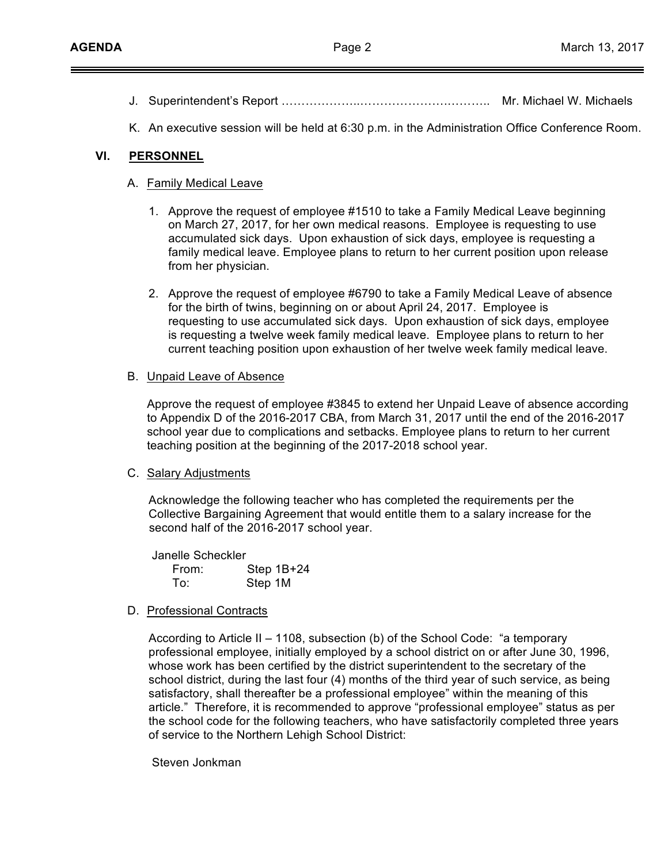- J. Superintendent's Report ………………..………………….……….. Mr. Michael W. Michaels
- K. An executive session will be held at 6:30 p.m. in the Administration Office Conference Room.

### **VI. PERSONNEL**

#### A. Family Medical Leave

- 1. Approve the request of employee #1510 to take a Family Medical Leave beginning on March 27, 2017, for her own medical reasons. Employee is requesting to use accumulated sick days. Upon exhaustion of sick days, employee is requesting a family medical leave. Employee plans to return to her current position upon release from her physician.
- 2. Approve the request of employee #6790 to take a Family Medical Leave of absence for the birth of twins, beginning on or about April 24, 2017. Employee is requesting to use accumulated sick days. Upon exhaustion of sick days, employee is requesting a twelve week family medical leave. Employee plans to return to her current teaching position upon exhaustion of her twelve week family medical leave.

#### B. Unpaid Leave of Absence

Approve the request of employee #3845 to extend her Unpaid Leave of absence according to Appendix D of the 2016-2017 CBA, from March 31, 2017 until the end of the 2016-2017 school year due to complications and setbacks. Employee plans to return to her current teaching position at the beginning of the 2017-2018 school year.

#### C. Salary Adjustments

Acknowledge the following teacher who has completed the requirements per the Collective Bargaining Agreement that would entitle them to a salary increase for the second half of the 2016-2017 school year.

Janelle Scheckler From: Step 1B+24 To: Step 1M

D. Professional Contracts

According to Article  $II - 1108$ , subsection (b) of the School Code: "a temporary professional employee, initially employed by a school district on or after June 30, 1996, whose work has been certified by the district superintendent to the secretary of the school district, during the last four (4) months of the third year of such service, as being satisfactory, shall thereafter be a professional employee" within the meaning of this article." Therefore, it is recommended to approve "professional employee" status as per the school code for the following teachers, who have satisfactorily completed three years of service to the Northern Lehigh School District:

Steven Jonkman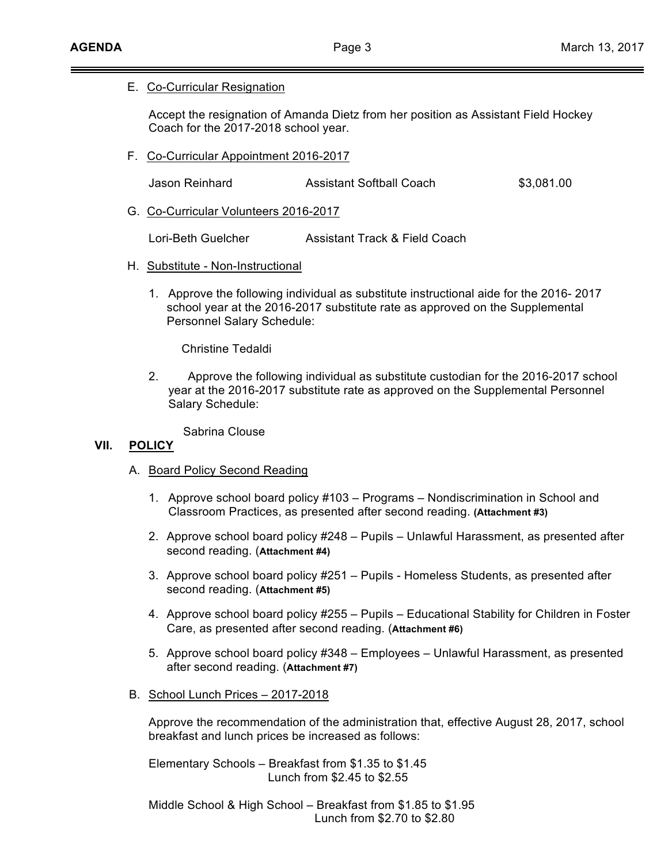### E. Co-Curricular Resignation

Accept the resignation of Amanda Dietz from her position as Assistant Field Hockey Coach for the 2017-2018 school year.

F. Co-Curricular Appointment 2016-2017

| Jason Reinhard | <b>Assistant Softball Coach</b> | \$3,081.00 |
|----------------|---------------------------------|------------|
|                |                                 |            |

G. Co-Curricular Volunteers 2016-2017

Lori-Beth Guelcher Assistant Track & Field Coach

- H. Substitute Non-Instructional
	- 1. Approve the following individual as substitute instructional aide for the 2016- 2017 school year at the 2016-2017 substitute rate as approved on the Supplemental Personnel Salary Schedule:

Christine Tedaldi

2. Approve the following individual as substitute custodian for the 2016-2017 school year at the 2016-2017 substitute rate as approved on the Supplemental Personnel Salary Schedule:

Sabrina Clouse

### **VII. POLICY**

- A. Board Policy Second Reading
	- 1. Approve school board policy #103 Programs Nondiscrimination in School and Classroom Practices, as presented after second reading. **(Attachment #3)**
	- 2. Approve school board policy #248 Pupils Unlawful Harassment, as presented after second reading. (**Attachment #4)**
	- 3. Approve school board policy #251 Pupils Homeless Students, as presented after second reading. (**Attachment #5)**
	- 4. Approve school board policy #255 Pupils Educational Stability for Children in Foster Care, as presented after second reading. (**Attachment #6)**
	- 5. Approve school board policy #348 Employees Unlawful Harassment, as presented after second reading. (**Attachment #7)**
- B. School Lunch Prices 2017-2018

Approve the recommendation of the administration that, effective August 28, 2017, school breakfast and lunch prices be increased as follows:

Elementary Schools – Breakfast from \$1.35 to \$1.45 Lunch from \$2.45 to \$2.55

Middle School & High School – Breakfast from \$1.85 to \$1.95 Lunch from \$2.70 to \$2.80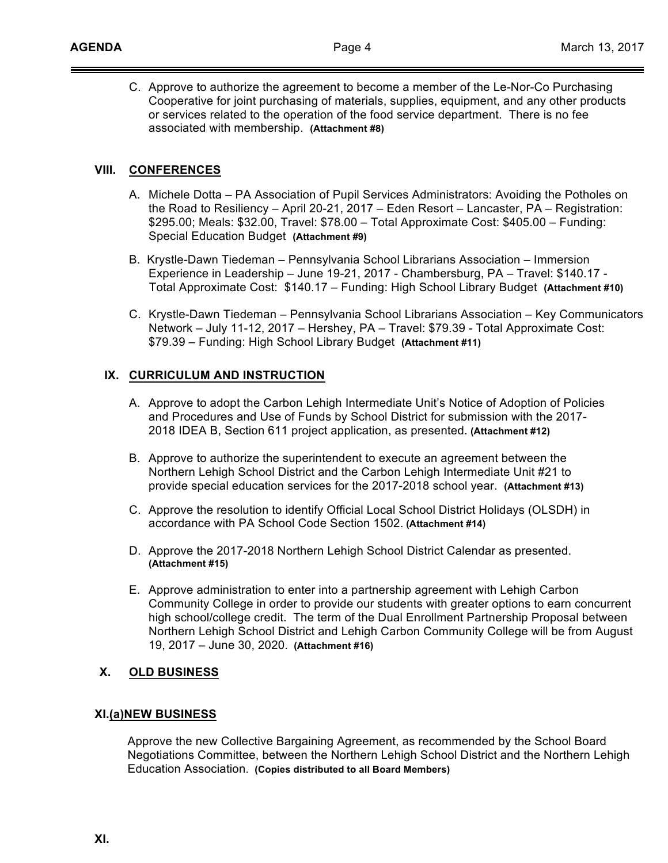C. Approve to authorize the agreement to become a member of the Le-Nor-Co Purchasing Cooperative for joint purchasing of materials, supplies, equipment, and any other products or services related to the operation of the food service department. There is no fee associated with membership. **(Attachment #8)**

# **VIII. CONFERENCES**

- A. Michele Dotta PA Association of Pupil Services Administrators: Avoiding the Potholes on the Road to Resiliency – April 20-21, 2017 – Eden Resort – Lancaster, PA – Registration: \$295.00; Meals: \$32.00, Travel: \$78.00 – Total Approximate Cost: \$405.00 – Funding: Special Education Budget **(Attachment #9)**
- B. Krystle-Dawn Tiedeman Pennsylvania School Librarians Association Immersion B. Experience in Leadership – June 19-21, 2017 - Chambersburg, PA – Travel: \$140.17 - Total Approximate Cost: \$140.17 – Funding: High School Library Budget **(Attachment #10)**
- C. Krystle-Dawn Tiedeman Pennsylvania School Librarians Association Key Communicators Network – July 11-12, 2017 – Hershey, PA – Travel: \$79.39 - Total Approximate Cost: \$79.39 – Funding: High School Library Budget **(Attachment #11)**

### **IX. CURRICULUM AND INSTRUCTION**

- A. Approve to adopt the Carbon Lehigh Intermediate Unit's Notice of Adoption of Policies and Procedures and Use of Funds by School District for submission with the 2017- 2018 IDEA B, Section 611 project application, as presented. **(Attachment #12)**
- B. Approve to authorize the superintendent to execute an agreement between the Northern Lehigh School District and the Carbon Lehigh Intermediate Unit #21 to provide special education services for the 2017-2018 school year. **(Attachment #13)**
- C. Approve the resolution to identify Official Local School District Holidays (OLSDH) in accordance with PA School Code Section 1502. **(Attachment #14)**
- D. Approve the 2017-2018 Northern Lehigh School District Calendar as presented. **(Attachment #15)**
- E. Approve administration to enter into a partnership agreement with Lehigh Carbon Community College in order to provide our students with greater options to earn concurrent high school/college credit. The term of the Dual Enrollment Partnership Proposal between Northern Lehigh School District and Lehigh Carbon Community College will be from August 19, 2017 – June 30, 2020. **(Attachment #16)**

# **X. OLD BUSINESS**

#### **XI.(a)NEW BUSINESS**

 Approve the new Collective Bargaining Agreement, as recommended by the School Board Negotiations Committee, between the Northern Lehigh School District and the Northern Lehigh Education Association. **(Copies distributed to all Board Members)**